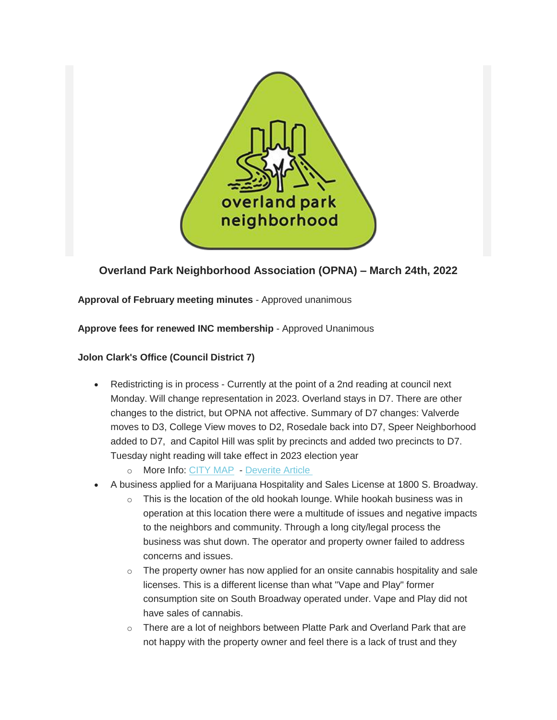

# **Overland Park Neighborhood Association (OPNA) – March 24th, 2022**

# **Approval of February meeting minutes** - Approved unanimous

### **Approve fees for renewed INC membership** - Approved Unanimous

# **Jolon Clark's Office (Council District 7)**

- Redistricting is in process Currently at the point of a 2nd reading at council next Monday. Will change representation in 2023. Overland stays in D7. There are other changes to the district, but OPNA not affective. Summary of D7 changes: Valverde moves to D3, College View moves to D2, Rosedale back into D7, Speer Neighborhood added to D7, and Capitol Hill was split by precincts and added two precincts to D7. Tuesday night reading will take effect in 2023 election year
	- o More Info: [CITY MAP](https://geospatialdenver.maps.arcgis.com/apps/dashboards/ce8e35f5d9874e62bd1f2c6c218e1c4e) [Deverite Article](https://denverite.com/2022/03/23/denvers-redistricting-process-is-basically-over-only-a-final-vote-remains/)
- A business applied for a Marijuana Hospitality and Sales License at 1800 S. Broadway.
	- $\circ$  This is the location of the old hookah lounge. While hookah business was in operation at this location there were a multitude of issues and negative impacts to the neighbors and community. Through a long city/legal process the business was shut down. The operator and property owner failed to address concerns and issues.
	- o The property owner has now applied for an onsite cannabis hospitality and sale licenses. This is a different license than what "Vape and Play" former consumption site on South Broadway operated under. Vape and Play did not have sales of cannabis.
	- $\circ$  There are a lot of neighbors between Platte Park and Overland Park that are not happy with the property owner and feel there is a lack of trust and they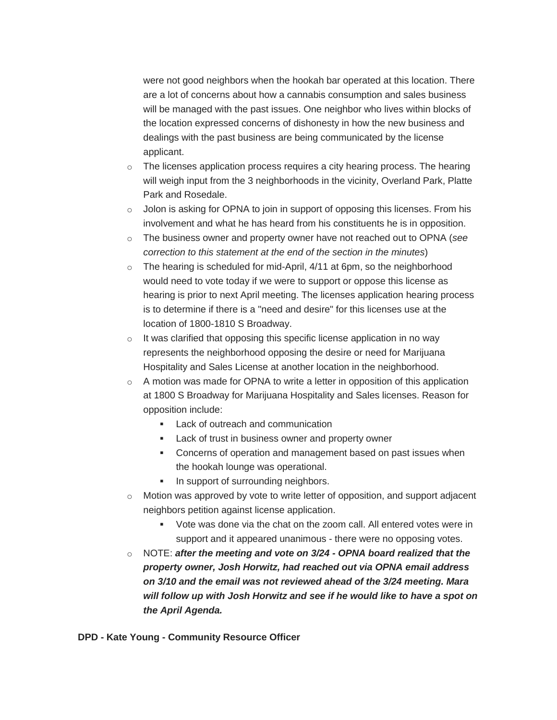were not good neighbors when the hookah bar operated at this location. There are a lot of concerns about how a cannabis consumption and sales business will be managed with the past issues. One neighbor who lives within blocks of the location expressed concerns of dishonesty in how the new business and dealings with the past business are being communicated by the license applicant.

- $\circ$  The licenses application process requires a city hearing process. The hearing will weigh input from the 3 neighborhoods in the vicinity, Overland Park, Platte Park and Rosedale.
- o Jolon is asking for OPNA to join in support of opposing this licenses. From his involvement and what he has heard from his constituents he is in opposition.
- o The business owner and property owner have not reached out to OPNA (*see correction to this statement at the end of the section in the minutes*)
- $\circ$  The hearing is scheduled for mid-April, 4/11 at 6pm, so the neighborhood would need to vote today if we were to support or oppose this license as hearing is prior to next April meeting. The licenses application hearing process is to determine if there is a "need and desire" for this licenses use at the location of 1800-1810 S Broadway.
- $\circ$  It was clarified that opposing this specific license application in no way represents the neighborhood opposing the desire or need for Marijuana Hospitality and Sales License at another location in the neighborhood.
- $\circ$  A motion was made for OPNA to write a letter in opposition of this application at 1800 S Broadway for Marijuana Hospitality and Sales licenses. Reason for opposition include:
	- **Lack of outreach and communication**
	- **Lack of trust in business owner and property owner**
	- Concerns of operation and management based on past issues when the hookah lounge was operational.
	- In support of surrounding neighbors.
- $\circ$  Motion was approved by vote to write letter of opposition, and support adjacent neighbors petition against license application.
	- Vote was done via the chat on the zoom call. All entered votes were in support and it appeared unanimous - there were no opposing votes.
- o NOTE: *after the meeting and vote on 3/24 - OPNA board realized that the property owner, Josh Horwitz, had reached out via OPNA email address on 3/10 and the email was not reviewed ahead of the 3/24 meeting. Mara will follow up with Josh Horwitz and see if he would like to have a spot on the April Agenda.*

**DPD - Kate Young - Community Resource Officer**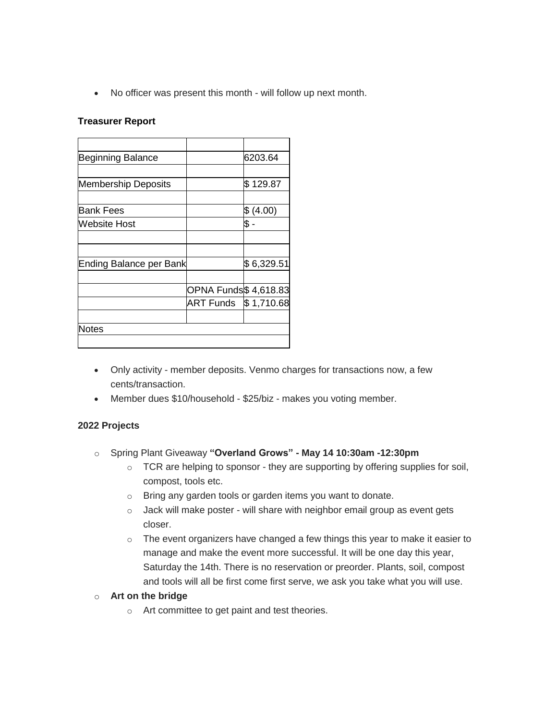No officer was present this month - will follow up next month.

#### **Treasurer Report**

| <b>Beginning Balance</b>       |                              | 6203.64    |
|--------------------------------|------------------------------|------------|
|                                |                              |            |
| <b>Membership Deposits</b>     |                              | \$129.87   |
|                                |                              |            |
| <b>Bank Fees</b>               |                              | \$(4.00)   |
| Website Host                   |                              | \$         |
|                                |                              |            |
|                                |                              |            |
| <b>Ending Balance per Bank</b> |                              | \$6,329.51 |
|                                |                              |            |
|                                | <b>OPNA Funds \$4,618.83</b> |            |
|                                | <b>ART Funds</b>             | \$1,710.68 |
|                                |                              |            |
| <b>Notes</b>                   |                              |            |
|                                |                              |            |

- Only activity member deposits. Venmo charges for transactions now, a few cents/transaction.
- Member dues \$10/household \$25/biz makes you voting member.

### **2022 Projects**

- o Spring Plant Giveaway **"Overland Grows" - May 14 10:30am -12:30pm**
	- o TCR are helping to sponsor they are supporting by offering supplies for soil, compost, tools etc.
	- o Bring any garden tools or garden items you want to donate.
	- o Jack will make poster will share with neighbor email group as event gets closer.
	- $\circ$  The event organizers have changed a few things this year to make it easier to manage and make the event more successful. It will be one day this year, Saturday the 14th. There is no reservation or preorder. Plants, soil, compost and tools will all be first come first serve, we ask you take what you will use.

# o **Art on the bridge**

o Art committee to get paint and test theories.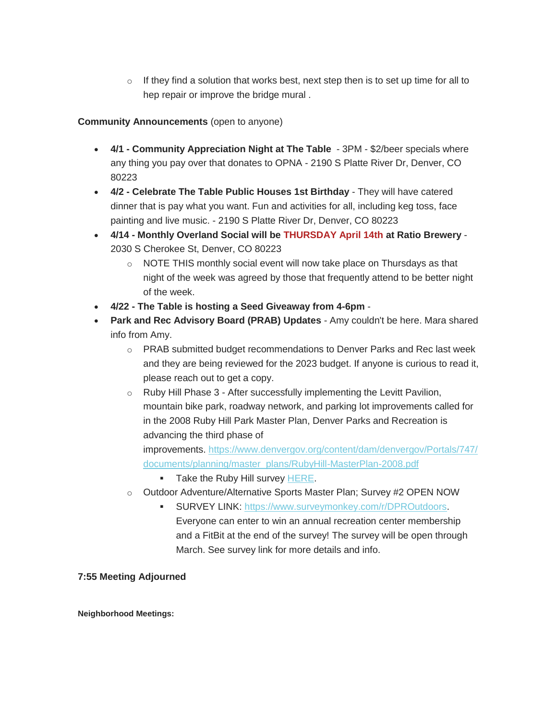$\circ$  If they find a solution that works best, next step then is to set up time for all to hep repair or improve the bridge mural .

# **Community Announcements** (open to anyone)

- **4/1 - Community Appreciation Night at The Table** 3PM \$2/beer specials where any thing you pay over that donates to OPNA - 2190 S Platte River Dr, Denver, CO 80223
- **4/2 - Celebrate The Table Public Houses 1st Birthday** They will have catered dinner that is pay what you want. Fun and activities for all, including keg toss, face painting and live music. - 2190 S Platte River Dr, Denver, CO 80223
- **4/14 - Monthly Overland Social will be THURSDAY April 14th at Ratio Brewery** 2030 S Cherokee St, Denver, CO 80223
	- $\circ$  NOTE THIS monthly social event will now take place on Thursdays as that night of the week was agreed by those that frequently attend to be better night of the week.
- **4/22 - The Table is hosting a Seed Giveaway from 4-6pm** -
- **Park and Rec Advisory Board (PRAB) Updates** Amy couldn't be here. Mara shared info from Amy.
	- o PRAB submitted budget recommendations to Denver Parks and Rec last week and they are being reviewed for the 2023 budget. If anyone is curious to read it, please reach out to get a copy.
	- o Ruby Hill Phase 3 After successfully implementing the Levitt Pavilion, mountain bike park, roadway network, and parking lot improvements called for in the 2008 Ruby Hill Park Master Plan, Denver Parks and Recreation is advancing the third phase of improvements. [https://www.denvergov.org/content/dam/denvergov/Portals/747/](https://www.denvergov.org/content/dam/denvergov/Portals/747/documents/planning/master_plans/RubyHill-MasterPlan-2008.pdf) [documents/planning/master\\_plans/RubyHill-MasterPlan-2008.pdf](https://www.denvergov.org/content/dam/denvergov/Portals/747/documents/planning/master_plans/RubyHill-MasterPlan-2008.pdf)

Take the Ruby Hill survey [HERE.](https://www.menti.com/nsdksjjhwq/0)

- o Outdoor Adventure/Alternative Sports Master Plan; Survey #2 OPEN NOW
	- SURVEY LINK: [https://www.surveymonkey.com/r/DPROutdoors.](https://www.surveymonkey.com/r/DPROutdoors) Everyone can enter to win an annual recreation center membership and a FitBit at the end of the survey! The survey will be open through March. See survey link for more details and info.

# **7:55 Meeting Adjourned**

**Neighborhood Meetings:**